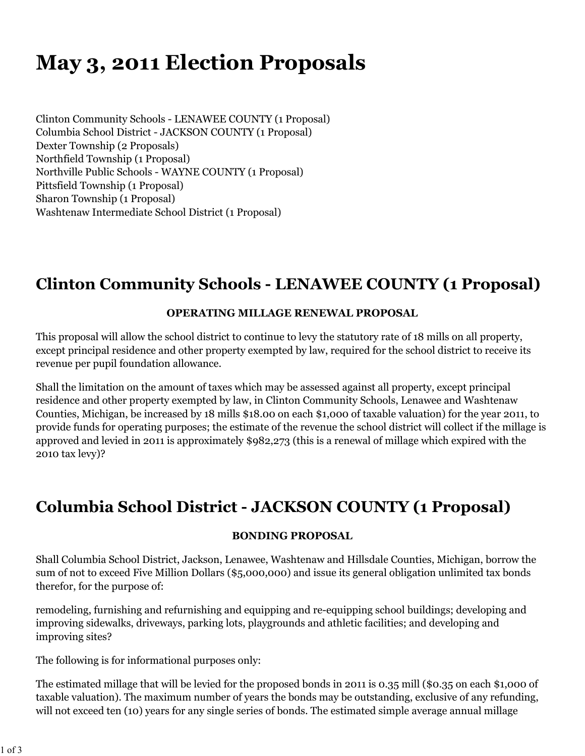# **May 3, 2011 Election Proposals**

Clinton Community Schools - LENAWEE COUNTY (1 Proposal) Columbia School District - JACKSON COUNTY (1 Proposal) Dexter Township (2 Proposals) Northfield Township (1 Proposal) Northville Public Schools - WAYNE COUNTY (1 Proposal) Pittsfield Township (1 Proposal) Sharon Township (1 Proposal) Washtenaw Intermediate School District (1 Proposal)

# **Clinton Community Schools - LENAWEE COUNTY (1 Proposal)**

### **OPERATING MILLAGE RENEWAL PROPOSAL**

This proposal will allow the school district to continue to levy the statutory rate of 18 mills on all property, except principal residence and other property exempted by law, required for the school district to receive its revenue per pupil foundation allowance.

Shall the limitation on the amount of taxes which may be assessed against all property, except principal residence and other property exempted by law, in Clinton Community Schools, Lenawee and Washtenaw Counties, Michigan, be increased by 18 mills \$18.00 on each \$1,000 of taxable valuation) for the year 2011, to provide funds for operating purposes; the estimate of the revenue the school district will collect if the millage is approved and levied in 2011 is approximately \$982,273 (this is a renewal of millage which expired with the 2010 tax levy)?

# **Columbia School District - JACKSON COUNTY (1 Proposal)**

#### **BONDING PROPOSAL**

Shall Columbia School District, Jackson, Lenawee, Washtenaw and Hillsdale Counties, Michigan, borrow the sum of not to exceed Five Million Dollars (\$5,000,000) and issue its general obligation unlimited tax bonds therefor, for the purpose of:

remodeling, furnishing and refurnishing and equipping and re-equipping school buildings; developing and improving sidewalks, driveways, parking lots, playgrounds and athletic facilities; and developing and improving sites?

The following is for informational purposes only:

The estimated millage that will be levied for the proposed bonds in 2011 is 0.35 mill (\$0.35 on each \$1,000 of taxable valuation). The maximum number of years the bonds may be outstanding, exclusive of any refunding, will not exceed ten (10) years for any single series of bonds. The estimated simple average annual millage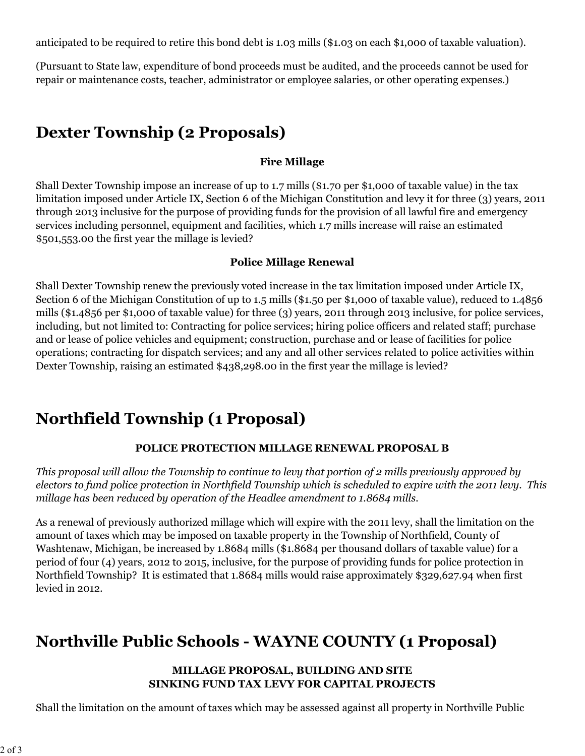anticipated to be required to retire this bond debt is 1.03 mills (\$1.03 on each \$1,000 of taxable valuation).

(Pursuant to State law, expenditure of bond proceeds must be audited, and the proceeds cannot be used for repair or maintenance costs, teacher, administrator or employee salaries, or other operating expenses.)

# **Dexter Township (2 Proposals)**

### **Fire Millage**

Shall Dexter Township impose an increase of up to 1.7 mills (\$1.70 per \$1,000 of taxable value) in the tax limitation imposed under Article IX, Section 6 of the Michigan Constitution and levy it for three (3) years, 2011 through 2013 inclusive for the purpose of providing funds for the provision of all lawful fire and emergency services including personnel, equipment and facilities, which 1.7 mills increase will raise an estimated \$501,553.00 the first year the millage is levied?

### **Police Millage Renewal**

Shall Dexter Township renew the previously voted increase in the tax limitation imposed under Article IX, Section 6 of the Michigan Constitution of up to 1.5 mills (\$1.50 per \$1,000 of taxable value), reduced to 1.4856 mills (\$1.4856 per \$1,000 of taxable value) for three (3) years, 2011 through 2013 inclusive, for police services, including, but not limited to: Contracting for police services; hiring police officers and related staff; purchase and or lease of police vehicles and equipment; construction, purchase and or lease of facilities for police operations; contracting for dispatch services; and any and all other services related to police activities within Dexter Township, raising an estimated \$438,298.00 in the first year the millage is levied?

# **Northfield Township (1 Proposal)**

### **POLICE PROTECTION MILLAGE RENEWAL PROPOSAL B**

*This proposal will allow the Township to continue to levy that portion of 2 mills previously approved by electors to fund police protection in Northfield Township which is scheduled to expire with the 2011 levy. This millage has been reduced by operation of the Headlee amendment to 1.8684 mills.*

As a renewal of previously authorized millage which will expire with the 2011 levy, shall the limitation on the amount of taxes which may be imposed on taxable property in the Township of Northfield, County of Washtenaw, Michigan, be increased by 1.8684 mills (\$1.8684 per thousand dollars of taxable value) for a period of four (4) years, 2012 to 2015, inclusive, for the purpose of providing funds for police protection in Northfield Township? It is estimated that 1.8684 mills would raise approximately \$329,627.94 when first levied in 2012.

# **Northville Public Schools - WAYNE COUNTY (1 Proposal)**

#### **MILLAGE PROPOSAL, BUILDING AND SITE SINKING FUND TAX LEVY FOR CAPITAL PROJECTS**

Shall the limitation on the amount of taxes which may be assessed against all property in Northville Public